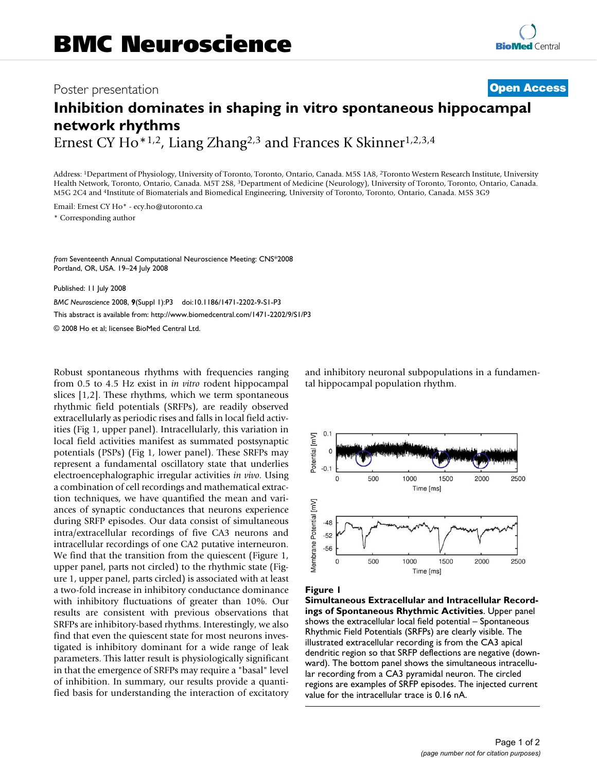## Poster presentation **Contract Contract Contract Contract Contract Contract Contract Contract Contract Contract Contract Contract Contract Contract Contract Contract Contract Contract Contract Contract Contract Contract Con**

# **Inhibition dominates in shaping in vitro spontaneous hippocampal network rhythms**

Ernest CY Ho<sup>\*1,2</sup>, Liang Zhang<sup>2,3</sup> and Frances K Skinner<sup>1,2,3,4</sup>

Address: 1Department of Physiology, University of Toronto, Toronto, Ontario, Canada. M5S 1A8, 2Toronto Western Research Institute, University Health Network, Toronto, Ontario, Canada. M5T 2S8, 3Department of Medicine (Neurology), University of Toronto, Toronto, Ontario, Canada. M5G 2C4 and 4Institute of Biomaterials and Biomedical Engineering, University of Toronto, Toronto, Ontario, Canada. M5S 3G9

Email: Ernest CY Ho\* - ecy.ho@utoronto.ca \* Corresponding author

*from* Seventeenth Annual Computational Neuroscience Meeting: CNS\*2008 Portland, OR, USA. 19–24 July 2008

Published: 11 July 2008

*BMC Neuroscience* 2008, **9**(Suppl 1):P3 doi:10.1186/1471-2202-9-S1-P3 [This abstract is available from: http://www.biomedcentral.com/1471-2202/9/S1/P3](http://www.biomedcentral.com/1471-2202/9/S1/P3) © 2008 Ho et al; licensee BioMed Central Ltd.

Robust spontaneous rhythms with frequencies ranging from 0.5 to 4.5 Hz exist in *in vitro* rodent hippocampal slices [1,2]. These rhythms, which we term spontaneous rhythmic field potentials (SRFPs), are readily observed extracellularly as periodic rises and falls in local field activities (Fig 1, upper panel). Intracellularly, this variation in local field activities manifest as summated postsynaptic potentials (PSPs) (Fig 1, lower panel). These SRFPs may represent a fundamental oscillatory state that underlies electroencephalographic irregular activities *in vivo*. Using a combination of cell recordings and mathematical extraction techniques, we have quantified the mean and variances of synaptic conductances that neurons experience during SRFP episodes. Our data consist of simultaneous intra/extracellular recordings of five CA3 neurons and intracellular recordings of one CA2 putative interneuron. We find that the transition from the quiescent (Figure 1, upper panel, parts not circled) to the rhythmic state (Figure 1, upper panel, parts circled) is associated with at least a two-fold increase in inhibitory conductance dominance with inhibitory fluctuations of greater than 10%. Our results are consistent with previous observations that SRFPs are inhibitory-based rhythms. Interestingly, we also find that even the quiescent state for most neurons investigated is inhibitory dominant for a wide range of leak parameters. This latter result is physiologically significant in that the emergence of SRFPs may require a "basal" level of inhibition. In summary, our results provide a quantified basis for understanding the interaction of excitatory and inhibitory neuronal subpopulations in a fundamental hippocampal population rhythm.



#### Figure I

**Simultaneous Extracellular and Intracellular Recordings of Spontaneous Rhythmic Activities**. Upper panel shows the extracellular local field potential – Spontaneous Rhythmic Field Potentials (SRFPs) are clearly visible. The illustrated extracellular recording is from the CA3 apical dendritic region so that SRFP deflections are negative (downward). The bottom panel shows the simultaneous intracellular recording from a CA3 pyramidal neuron. The circled regions are examples of SRFP episodes. The injected current value for the intracellular trace is 0.16 nA.